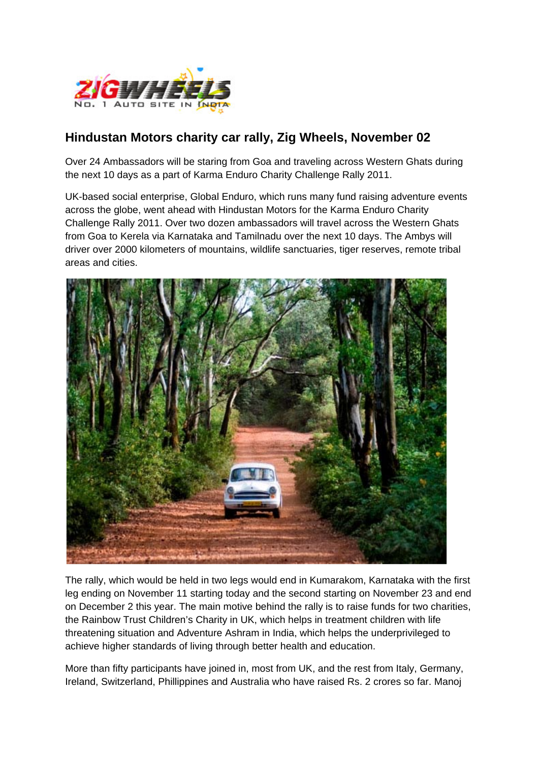

## **Hindustan Motors charity car rally, Zig Wheels, November 02**

Over 24 Ambassadors will be staring from Goa and traveling across Western Ghats during the next 10 days as a part of Karma Enduro Charity Challenge Rally 2011.

UK-based social enterprise, Global Enduro, which runs many fund raising adventure events across the globe, went ahead with Hindustan Motors for the Karma Enduro Charity Challenge Rally 2011. Over two dozen ambassadors will travel across the Western Ghats from Goa to Kerela via Karnataka and Tamilnadu over the next 10 days. The Ambys will driver over 2000 kilometers of mountains, wildlife sanctuaries, tiger reserves, remote tribal areas and cities.



The rally, which would be held in two legs would end in Kumarakom, Karnataka with the first leg ending on November 11 starting today and the second starting on November 23 and end on December 2 this year. The main motive behind the rally is to raise funds for two charities, the Rainbow Trust Children's Charity in UK, which helps in treatment children with life threatening situation and Adventure Ashram in India, which helps the underprivileged to achieve higher standards of living through better health and education.

More than fifty participants have joined in, most from UK, and the rest from Italy, Germany, Ireland, Switzerland, Phillippines and Australia who have raised Rs. 2 crores so far. Manoj